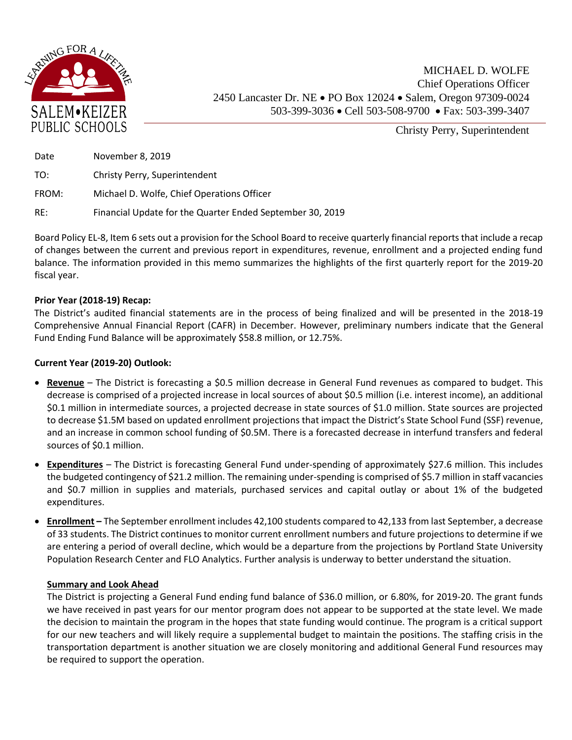

Christy Perry, Superintendent

| Date  | November 8, 2019                                          |
|-------|-----------------------------------------------------------|
| TO:   | Christy Perry, Superintendent                             |
| FROM: | Michael D. Wolfe, Chief Operations Officer                |
| RE:   | Financial Update for the Quarter Ended September 30, 2019 |

Board Policy EL-8, Item 6 sets out a provision for the School Board to receive quarterly financial reports that include a recap of changes between the current and previous report in expenditures, revenue, enrollment and a projected ending fund balance. The information provided in this memo summarizes the highlights of the first quarterly report for the 2019-20 fiscal year.

## **Prior Year (2018-19) Recap:**

The District's audited financial statements are in the process of being finalized and will be presented in the 2018-19 Comprehensive Annual Financial Report (CAFR) in December. However, preliminary numbers indicate that the General Fund Ending Fund Balance will be approximately \$58.8 million, or 12.75%.

## **Current Year (2019-20) Outlook:**

- **Revenue** The District is forecasting a \$0.5 million decrease in General Fund revenues as compared to budget. This decrease is comprised of a projected increase in local sources of about \$0.5 million (i.e. interest income), an additional \$0.1 million in intermediate sources, a projected decrease in state sources of \$1.0 million. State sources are projected to decrease \$1.5M based on updated enrollment projections that impact the District's State School Fund (SSF) revenue, and an increase in common school funding of \$0.5M. There is a forecasted decrease in interfund transfers and federal sources of \$0.1 million.
- **Expenditures** The District is forecasting General Fund under-spending of approximately \$27.6 million. This includes the budgeted contingency of \$21.2 million. The remaining under-spending is comprised of \$5.7 million in staff vacancies and \$0.7 million in supplies and materials, purchased services and capital outlay or about 1% of the budgeted expenditures.
- **Enrollment –** The September enrollment includes 42,100 students compared to 42,133 from last September, a decrease of 33 students. The District continues to monitor current enrollment numbers and future projections to determine if we are entering a period of overall decline, which would be a departure from the projections by Portland State University Population Research Center and FLO Analytics. Further analysis is underway to better understand the situation.

## **Summary and Look Ahead**

The District is projecting a General Fund ending fund balance of \$36.0 million, or 6.80%, for 2019-20. The grant funds we have received in past years for our mentor program does not appear to be supported at the state level. We made the decision to maintain the program in the hopes that state funding would continue. The program is a critical support for our new teachers and will likely require a supplemental budget to maintain the positions. The staffing crisis in the transportation department is another situation we are closely monitoring and additional General Fund resources may be required to support the operation.